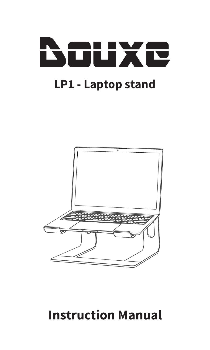



# **Instruction Manual**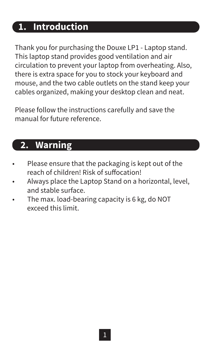#### **1. Introduction**

Thank you for purchasing the Douxe LP1 - Laptop stand. This laptop stand provides good ventilation and air circulation to prevent your laptop from overheating. Also, there is extra space for you to stock your keyboard and mouse, and the two cable outlets on the stand keep your cables organized, making your desktop clean and neat.

Please follow the instructions carefully and save the manual for future reference.

#### **2. Warning**

- Please ensure that the packaging is kept out of the reach of children! Risk of suffocation!
- Always place the Laptop Stand on a horizontal, level, and stable surface.
- The max. load-bearing capacity is 6 kg, do NOT exceed this limit.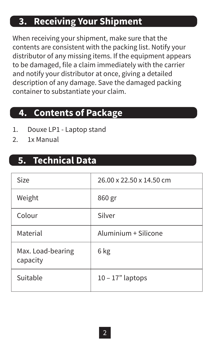## **3. Receiving Your Shipment**

When receiving your shipment, make sure that the contents are consistent with the packing list. Notify your distributor of any missing items. If the equipment appears to be damaged, file a claim immediately with the carrier and notify your distributor at once, giving a detailed description of any damage. Save the damaged packing container to substantiate your claim.

#### **4. Contents of Package**

- 1. Douxe LP1 Laptop stand
- 2. 1x Manual

#### **5. Technical Data**

| Size                          | 26.00 x 22.50 x 14.50 cm |
|-------------------------------|--------------------------|
| Weight                        | 860 gr                   |
| Colour                        | Silver                   |
| Material                      | Aluminium + Silicone     |
| Max. Load-bearing<br>capacity | 6 kg                     |
| Suitable                      | $10 - 17"$ laptops       |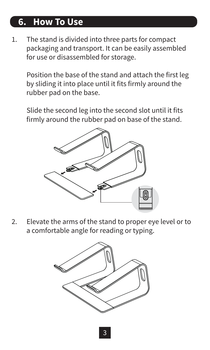## **6. How To Use**

1. The stand is divided into three parts for compact packaging and transport. It can be easily assembled for use or disassembled for storage.

 Position the base of the stand and attach the first leg by sliding it into place until it fits firmly around the rubber pad on the base.

 Slide the second leg into the second slot until it fits firmly around the rubber pad on base of the stand.



2. Elevate the arms of the stand to proper eye level or to a comfortable angle for reading or typing.